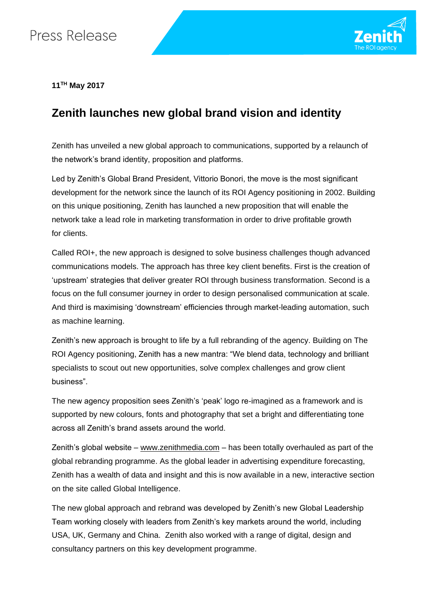## Press Release



**11TH May 2017**

## **Zenith launches new global brand vision and identity**

Zenith has unveiled a new global approach to communications, supported by a relaunch of the network's brand identity, proposition and platforms.

Led by Zenith's Global Brand President, Vittorio Bonori, the move is the most significant development for the network since the launch of its ROI Agency positioning in 2002. Building on this unique positioning, Zenith has launched a new proposition that will enable the network take a lead role in marketing transformation in order to drive profitable growth for clients.

Called ROI+, the new approach is designed to solve business challenges though advanced communications models. The approach has three key client benefits. First is the creation of 'upstream' strategies that deliver greater ROI through business transformation. Second is a focus on the full consumer journey in order to design personalised communication at scale. And third is maximising 'downstream' efficiencies through market-leading automation, such as machine learning.

Zenith's new approach is brought to life by a full rebranding of the agency. Building on The ROI Agency positioning, Zenith has a new mantra: "We blend data, technology and brilliant specialists to scout out new opportunities, solve complex challenges and grow client business".

The new agency proposition sees Zenith's 'peak' logo re-imagined as a framework and is supported by new colours, fonts and photography that set a bright and differentiating tone across all Zenith's brand assets around the world.

Zenith's global website – [www.zenithmedia.com](http://www.zenithmedia.com/) – has been totally overhauled as part of the global rebranding programme. As the global leader in advertising expenditure forecasting, Zenith has a wealth of data and insight and this is now available in a new, interactive section on the site called Global Intelligence.

The new global approach and rebrand was developed by Zenith's new Global Leadership Team working closely with leaders from Zenith's key markets around the world, including USA, UK, Germany and China. Zenith also worked with a range of digital, design and consultancy partners on this key development programme.